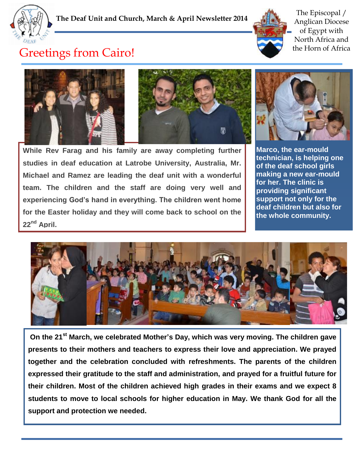



The Episcopal / Anglican Diocese of Egypt with North Africa and the Horn of Africa

## Greetings from Cairo!



**While Rev Farag and his family are away completing further studies in deaf education at Latrobe University, Australia, Mr. Michael and Ramez are leading the deaf unit with a wonderful team. The children and the staff are doing very well and experiencing God's hand in everything. The children went home for the Easter holiday and they will come back to school on the 22nd April.** 



**Marco, the ear-mould technician, is helping one of the deaf school girls making a new ear-mould for her. The clinic is providing significant support not only for the deaf children but also for the whole community.**



**On the 21st March, we celebrated Mother's Day, which was very moving. The children gave presents to their mothers and teachers to express their love and appreciation. We prayed together and the celebration concluded with refreshments. The parents of the children expressed their gratitude to the staff and administration, and prayed for a fruitful future for their children. Most of the children achieved high grades in their exams and we expect 8 students to move to local schools for higher education in May. We thank God for all the support and protection we needed.**